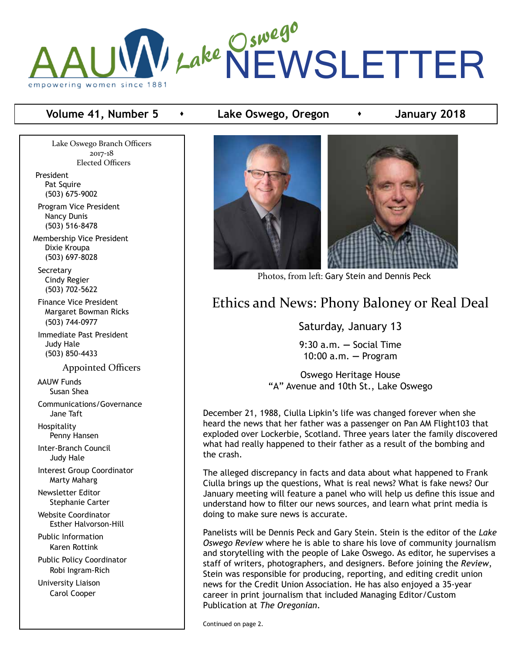

## **Volume 41, Number 5 •** Lake Oswego, Oregon **•** January 2018

Lake Oswego Branch Officers 2017-18 Elected Officers

President Pat Squire (503) 675-9002

 Program Vice President Nancy Dunis (503) 516-8478

Membership Vice President Dixie Kroupa (503) 697-8028

**Secretary**  Cindy Regier (503) 702-5622

 Finance Vice President Margaret Bowman Ricks (503) 744-0977

 Immediate Past President Judy Hale (503) 850-4433

Appointed Officers

 AAUW Funds Susan Shea

 Communications/Governance Jane Taft

 Hospitality Penny Hansen

 Inter-Branch Council Judy Hale

 Interest Group Coordinator Marty Maharg

 Newsletter Editor Stephanie Carter

 Website Coordinator Esther Halvorson-Hill

 Public Information Karen Rottink

 Public Policy Coordinator Robi Ingram-Rich

 University Liaison Carol Cooper





Photos, from left: Gary Stein and Dennis Peck

## Ethics and News: Phony Baloney or Real Deal

## Saturday, January 13

9:30 a.m. **—** Social Time 10:00 a.m. **—** Program

Oswego Heritage House "A" Avenue and 10th St., Lake Oswego

December 21, 1988, Ciulla Lipkin's life was changed forever when she heard the news that her father was a passenger on Pan AM Flight103 that exploded over Lockerbie, Scotland. Three years later the family discovered what had really happened to their father as a result of the bombing and the crash.

The alleged discrepancy in facts and data about what happened to Frank Ciulla brings up the questions, What is real news? What is fake news? Our January meeting will feature a panel who will help us define this issue and understand how to filter our news sources, and learn what print media is doing to make sure news is accurate.

Panelists will be Dennis Peck and Gary Stein. Stein is the editor of the *Lake Oswego Review* where he is able to share his love of community journalism and storytelling with the people of Lake Oswego. As editor, he supervises a staff of writers, photographers, and designers. Before joining the *Review*, Stein was responsible for producing, reporting, and editing credit union news for the Credit Union Association. He has also enjoyed a 35-year career in print journalism that included Managing Editor/Custom Publication at *The Oregonian*.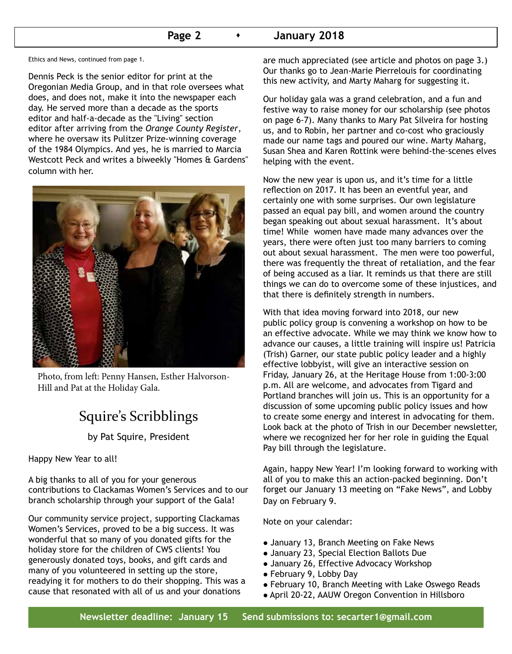## **Page 2 c c 1 January 2018**

Ethics and News, continued from page 1.

Dennis Peck is the senior editor for print at the Oregonian Media Group, and in that role oversees what does, and does not, make it into the newspaper each day. He served more than a decade as the sports editor and half-a-decade as the "Living" section editor after arriving from the *Orange County Register*, where he oversaw its Pulitzer Prize-winning coverage of the 1984 Olympics. And yes, he is married to Marcia Westcott Peck and writes a biweekly "Homes & Gardens" column with her.



Photo, from left: Penny Hansen, Esther Halvorson-Hill and Pat at the Holiday Gala.

## Squire's Scribblings

by Pat Squire, President

Happy New Year to all!

A big thanks to all of you for your generous contributions to Clackamas Women's Services and to our branch scholarship through your support of the Gala!

Our community service project, supporting Clackamas Women's Services, proved to be a big success. It was wonderful that so many of you donated gifts for the holiday store for the children of CWS clients! You generously donated toys, books, and gift cards and many of you volunteered in setting up the store, readying it for mothers to do their shopping. This was a cause that resonated with all of us and your donations

are much appreciated (see article and photos on page 3.) Our thanks go to Jean-Marie Pierrelouis for coordinating this new activity, and Marty Maharg for suggesting it.

Our holiday gala was a grand celebration, and a fun and festive way to raise money for our scholarship (see photos on page 6-7). Many thanks to Mary Pat Silveira for hosting us, and to Robin, her partner and co-cost who graciously made our name tags and poured our wine. Marty Maharg, Susan Shea and Karen Rottink were behind-the-scenes elves helping with the event.

Now the new year is upon us, and it's time for a little reflection on 2017. It has been an eventful year, and certainly one with some surprises. Our own legislature passed an equal pay bill, and women around the country began speaking out about sexual harassment. It's about time! While women have made many advances over the years, there were often just too many barriers to coming out about sexual harassment. The men were too powerful, there was frequently the threat of retaliation, and the fear of being accused as a liar. It reminds us that there are still things we can do to overcome some of these injustices, and that there is definitely strength in numbers.

With that idea moving forward into 2018, our new public policy group is convening a workshop on how to be an effective advocate. While we may think we know how to advance our causes, a little training will inspire us! Patricia (Trish) Garner, our state public policy leader and a highly effective lobbyist, will give an interactive session on Friday, January 26, at the Heritage House from 1:00-3:00 p.m. All are welcome, and advocates from Tigard and Portland branches will join us. This is an opportunity for a discussion of some upcoming public policy issues and how to create some energy and interest in advocating for them. Look back at the photo of Trish in our December newsletter, where we recognized her for her role in guiding the Equal Pay bill through the legislature.

Again, happy New Year! I'm looking forward to working with all of you to make this an action-packed beginning. Don't forget our January 13 meeting on "Fake News", and Lobby Day on February 9.

Note on your calendar:

- January 13, Branch Meeting on Fake News
- January 23, Special Election Ballots Due
- January 26, Effective Advocacy Workshop
- February 9, Lobby Day
- February 10, Branch Meeting with Lake Oswego Reads
- April 20-22, AAUW Oregon Convention in Hillsboro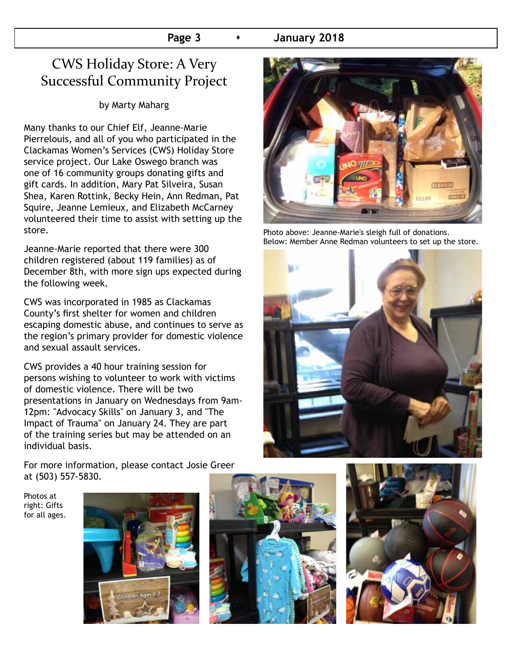## CWS Holiday Store: A Very Successful Community Project

## by Marty Maharg

Many thanks to our Chief Elf, Jeanne-Marie Pierrelouis, and all of you who participated in the Clackamas Women's Services (CWS) Holiday Store service project. Our Lake Oswego branch was one of 16 community groups donating gifts and gift cards. In addition, Mary Pat Silveira, Susan Shea, Karen Rottink, Becky Hein, Ann Redman, Pat Squire, Jeanne Lemieux, and Elizabeth McCarney volunteered their time to assist with setting up the store.

Jeanne-Marie reported that there were 300 children registered (about 119 families) as of December 8th, with more sign ups expected during the following week.

CWS was incorporated in 1985 as Clackamas County's first shelter for women and children escaping domestic abuse, and continues to serve as the region's primary provider for domestic violence and sexual assault services.

CWS provides a 40 hour training session for persons wishing to volunteer to work with victims of domestic violence. There will be two presentations in January on Wednesdays from 9am-12pm: "Advocacy Skills" on January 3, and "The Impact of Trauma" on January 24. They are part of the training series but may be attended on an individual basis.

Photo above: Jeanne-Marie's sleigh full of donations. Below: Member Anne Redman volunteers to set up the store.



For more information, please contact Josie Greer at (503) 557-5830.

Photos at right: Gifts for all ages.





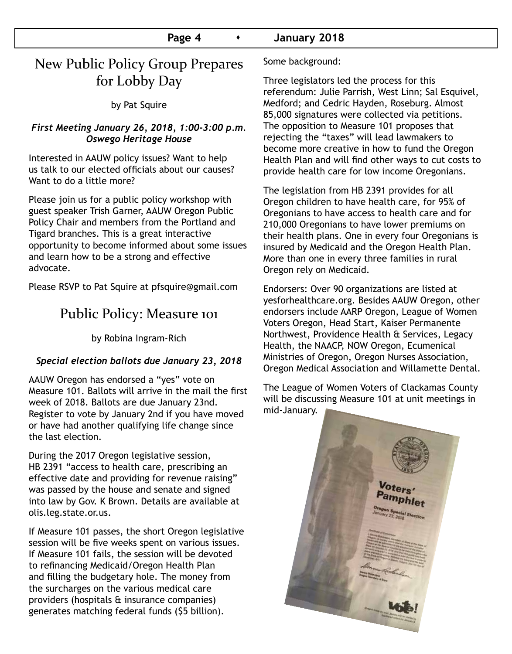| Page 4 |  | January 2018 |  |
|--------|--|--------------|--|
|--------|--|--------------|--|

## New Public Policy Group Prepares for Lobby Day

by Pat Squire

#### *First Meeting January 26, 2018, 1:00-3:00 p.m. Oswego Heritage House*

Interested in AAUW policy issues? Want to help us talk to our elected officials about our causes? Want to do a little more?

Please join us for a public policy workshop with guest speaker Trish Garner, AAUW Oregon Public Policy Chair and members from the Portland and Tigard branches. This is a great interactive opportunity to become informed about some issues and learn how to be a strong and effective advocate.

Please RSVP to Pat Squire at pfsquire@gmail.com

## Public Policy: Measure 101

by Robina Ingram-Rich

## *Special election ballots due January 23, 2018*

AAUW Oregon has endorsed a "yes" vote on Measure 101. Ballots will arrive in the mail the first week of 2018. Ballots are due January 23nd. Register to vote by January 2nd if you have moved or have had another qualifying life change since the last election.

During the 2017 Oregon legislative session, HB 2391 "access to health care, prescribing an effective date and providing for revenue raising" was passed by the house and senate and signed into law by Gov. K Brown. Details are available at olis.leg.state.or.us.

If Measure 101 passes, the short Oregon legislative session will be five weeks spent on various issues. If Measure 101 fails, the session will be devoted to refinancing Medicaid/Oregon Health Plan and filling the budgetary hole. The money from the surcharges on the various medical care providers (hospitals & insurance companies) generates matching federal funds (\$5 billion).

Some background:

Three legislators led the process for this referendum: Julie Parrish, West Linn; Sal Esquivel, Medford; and Cedric Hayden, Roseburg. Almost 85,000 signatures were collected via petitions. The opposition to Measure 101 proposes that rejecting the "taxes" will lead lawmakers to become more creative in how to fund the Oregon Health Plan and will find other ways to cut costs to provide health care for low income Oregonians.

The legislation from HB 2391 provides for all Oregon children to have health care, for 95% of Oregonians to have access to health care and for 210,000 Oregonians to have lower premiums on their health plans. One in every four Oregonians is insured by Medicaid and the Oregon Health Plan. More than one in every three families in rural Oregon rely on Medicaid.

Endorsers: Over 90 organizations are listed at yesforhealthcare.org. Besides AAUW Oregon, other endorsers include AARP Oregon, League of Women Voters Oregon, Head Start, Kaiser Permanente Northwest, Providence Health & Services, Legacy Health, the NAACP, NOW Oregon, Ecumenical Ministries of Oregon, Oregon Nurses Association, Oregon Medical Association and Willamette Dental.

The League of Women Voters of Clackamas County will be discussing Measure 101 at unit meetings in mid-January.

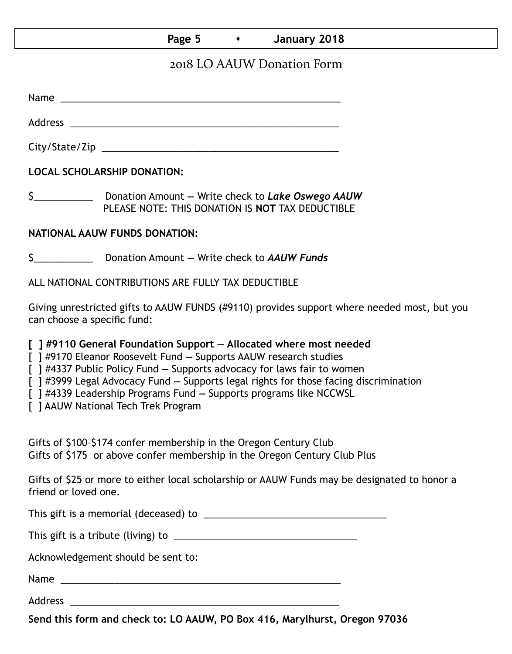## **Page 5 •** January 2018

## 2018 LO AAUW Donation Form

Name was also as a set of  $\sim$  200  $\mu$  m  $\sim$  200  $\mu$  m  $\sim$  200  $\mu$  m  $\sim$  200  $\mu$  m  $\sim$  200  $\mu$ 

Address \_\_\_\_\_\_\_\_\_\_\_\_\_\_\_\_\_\_\_\_\_\_\_\_\_\_\_\_\_\_\_\_\_\_\_\_\_\_\_\_\_\_\_\_\_\_\_\_\_\_

City/State/Zip \_\_\_\_\_\_\_\_\_\_\_\_\_\_\_\_\_\_\_\_\_\_\_\_\_\_\_\_\_\_\_\_\_\_\_\_\_\_\_\_\_\_\_\_

**LOCAL SCHOLARSHIP DONATION:**

\$\_\_\_\_\_\_\_\_\_\_\_ Donation Amount **—** Write check to *Lake Oswego AAUW* PLEASE NOTE: THIS DONATION IS **NOT** TAX DEDUCTIBLE

## **NATIONAL AAUW FUNDS DONATION:**

\$\_\_\_\_\_\_\_\_\_\_\_ Donation Amount **—** Write check to *AAUW Funds*

ALL NATIONAL CONTRIBUTIONS ARE FULLY TAX DEDUCTIBLE

Giving unrestricted gifts to AAUW FUNDS (#9110) provides support where needed most, but you can choose a specific fund:

**[ ] #9110 General Foundation Support — Allocated where most needed** 

[ ] #9170 Eleanor Roosevelt Fund **—** Supports AAUW research studies

[ ] #4337 Public Policy Fund **—** Supports advocacy for laws fair to women

[ ] #3999 Legal Advocacy Fund **—** Supports legal rights for those facing discrimination

[ ] #4339 Leadership Programs Fund **—** Supports programs like NCCWSL

[ ] AAUW National Tech Trek Program

Gifts of \$100–\$174 confer membership in the Oregon Century Club Gifts of \$175 or above confer membership in the Oregon Century Club Plus

Gifts of \$25 or more to either local scholarship or AAUW Funds may be designated to honor a friend or loved one.

This gift is a memorial (deceased) to \_\_\_\_\_\_\_\_\_\_\_\_\_\_\_\_\_\_\_\_\_\_\_\_\_\_\_\_\_\_\_\_\_\_

This gift is a tribute (living) to \_\_\_\_\_\_\_\_\_\_\_\_\_\_\_\_\_\_\_\_\_\_\_\_\_\_\_\_\_\_\_\_\_\_

Acknowledgement should be sent to:

Name \_\_\_\_\_\_\_\_\_\_\_\_\_\_\_\_\_\_\_\_\_\_\_\_\_\_\_\_\_\_\_\_\_\_\_\_\_\_\_\_\_\_\_\_\_\_\_\_\_\_\_\_

Address \_\_\_\_\_\_\_\_\_\_\_\_\_\_\_\_\_\_\_\_\_\_\_\_\_\_\_\_\_\_\_\_\_\_\_\_\_\_\_\_\_\_\_\_\_\_\_\_\_\_

**Send this form and check to: LO AAUW, PO Box 416, Marylhurst, Oregon 97036**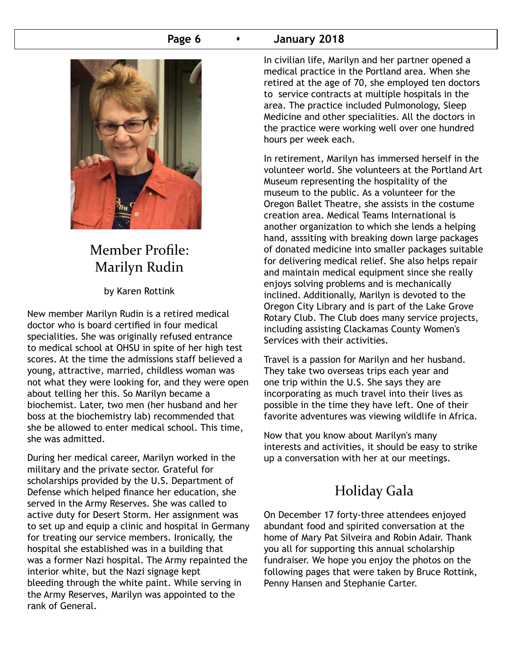## **Page 6 • January 2018**



## Member Profile: Marilyn Rudin

by Karen Rottink

New member Marilyn Rudin is a retired medical doctor who is board certified in four medical specialities. She was originally refused entrance to medical school at OHSU in spite of her high test scores. At the time the admissions staff believed a young, attractive, married, childless woman was not what they were looking for, and they were open about telling her this. So Marilyn became a biochemist. Later, two men (her husband and her boss at the biochemistry lab) recommended that she be allowed to enter medical school. This time, she was admitted.

During her medical career, Marilyn worked in the military and the private sector. Grateful for scholarships provided by the U.S. Department of Defense which helped finance her education, she served in the Army Reserves. She was called to active duty for Desert Storm. Her assignment was to set up and equip a clinic and hospital in Germany for treating our service members. Ironically, the hospital she established was in a building that was a former Nazi hospital. The Army repainted the interior white, but the Nazi signage kept bleeding through the white paint. While serving in the Army Reserves, Marilyn was appointed to the rank of General.

In civilian life, Marilyn and her partner opened a medical practice in the Portland area. When she retired at the age of 70, she employed ten doctors to service contracts at multiple hospitals in the area. The practice included Pulmonology, Sleep Medicine and other specialities. All the doctors in the practice were working well over one hundred hours per week each.

In retirement, Marilyn has immersed herself in the volunteer world. She volunteers at the Portland Art Museum representing the hospitality of the museum to the public. As a volunteer for the Oregon Ballet Theatre, she assists in the costume creation area. Medical Teams International is another organization to which she lends a helping hand, asssiting with breaking down large packages of donated medicine into smaller packages suitable for delivering medical relief. She also helps repair and maintain medical equipment since she really enjoys solving problems and is mechanically inclined. Additionally, Marilyn is devoted to the Oregon City Library and is part of the Lake Grove Rotary Club. The Club does many service projects, including assisting Clackamas County Women's Services with their activities.

Travel is a passion for Marilyn and her husband. They take two overseas trips each year and one trip within the U.S. She says they are incorporating as much travel into their lives as possible in the time they have left. One of their favorite adventures was viewing wildlife in Africa.

Now that you know about Marilyn's many interests and activities, it should be easy to strike up a conversation with her at our meetings.

## Holiday Gala

On December 17 forty-three attendees enjoyed abundant food and spirited conversation at the home of Mary Pat Silveira and Robin Adair. Thank you all for supporting this annual scholarship fundraiser. We hope you enjoy the photos on the following pages that were taken by Bruce Rottink, Penny Hansen and Stephanie Carter.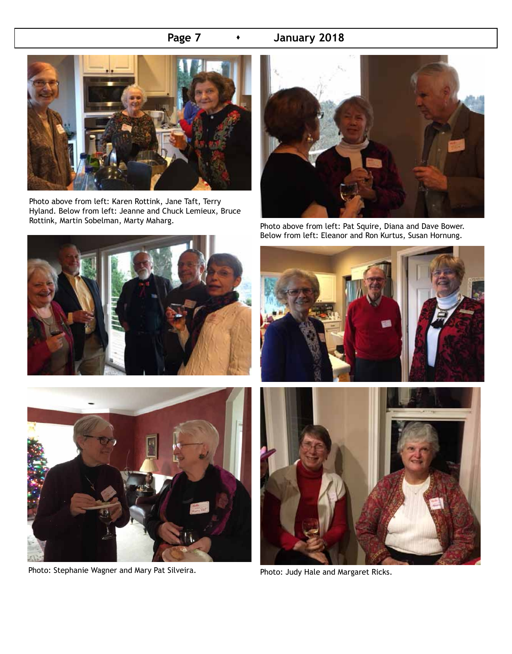## **Page 7 • January 2018**



Photo above from left: Karen Rottink, Jane Taft, Terry Hyland. Below from left: Jeanne and Chuck Lemieux, Bruce Rottink, Martin Sobelman, Marty Maharg. Photo above from left: Pat Squire, Diana and Dave Bower.



Below from left: Eleanor and Ron Kurtus, Susan Hornung.



Photo: Stephanie Wagner and Mary Pat Silveira. Photo: Judy Hale and Margaret Ricks.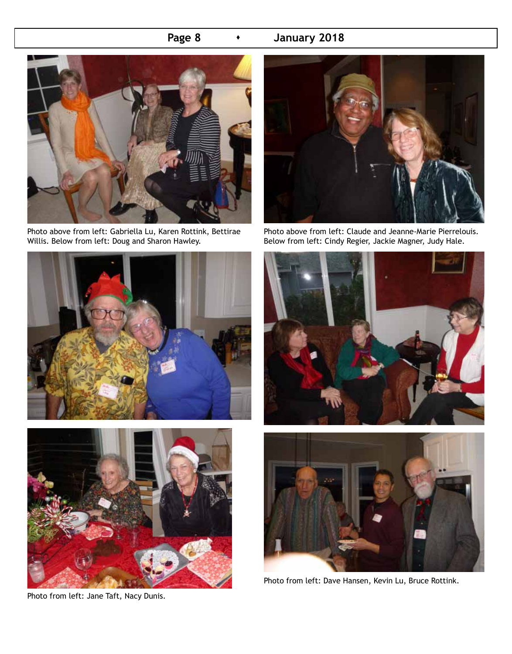## **Page 8 • January 2018**



Photo above from left: Gabriella Lu, Karen Rottink, Bettirae Willis. Below from left: Doug and Sharon Hawley.





Photo from left: Jane Taft, Nacy Dunis.



Photo above from left: Claude and Jeanne-Marie Pierrelouis. Below from left: Cindy Regier, Jackie Magner, Judy Hale.





Photo from left: Dave Hansen, Kevin Lu, Bruce Rottink.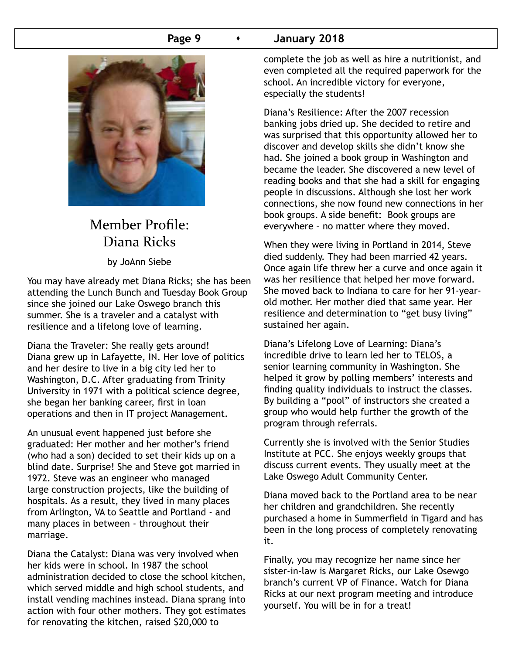## **Page 9**  $\rightarrow$  January 2018



## Member Profile: Diana Ricks

by JoAnn Siebe

You may have already met Diana Ricks; she has been attending the Lunch Bunch and Tuesday Book Group since she joined our Lake Oswego branch this summer. She is a traveler and a catalyst with resilience and a lifelong love of learning.

Diana the Traveler: She really gets around! Diana grew up in Lafayette, IN. Her love of politics and her desire to live in a big city led her to Washington, D.C. After graduating from Trinity University in 1971 with a political science degree, she began her banking career, first in loan operations and then in IT project Management.

An unusual event happened just before she graduated: Her mother and her mother's friend (who had a son) decided to set their kids up on a blind date. Surprise! She and Steve got married in 1972. Steve was an engineer who managed large construction projects, like the building of hospitals. As a result, they lived in many places from Arlington, VA to Seattle and Portland - and many places in between - throughout their marriage.

Diana the Catalyst: Diana was very involved when her kids were in school. In 1987 the school administration decided to close the school kitchen, which served middle and high school students, and install vending machines instead. Diana sprang into action with four other mothers. They got estimates for renovating the kitchen, raised \$20,000 to

complete the job as well as hire a nutritionist, and even completed all the required paperwork for the school. An incredible victory for everyone, especially the students!

Diana's Resilience: After the 2007 recession banking jobs dried up. She decided to retire and was surprised that this opportunity allowed her to discover and develop skills she didn't know she had. She joined a book group in Washington and became the leader. She discovered a new level of reading books and that she had a skill for engaging people in discussions. Although she lost her work connections, she now found new connections in her book groups. A side benefit: Book groups are everywhere – no matter where they moved.

When they were living in Portland in 2014, Steve died suddenly. They had been married 42 years. Once again life threw her a curve and once again it was her resilience that helped her move forward. She moved back to Indiana to care for her 91-yearold mother. Her mother died that same year. Her resilience and determination to "get busy living" sustained her again.

Diana's Lifelong Love of Learning: Diana's incredible drive to learn led her to TELOS, a senior learning community in Washington. She helped it grow by polling members' interests and finding quality individuals to instruct the classes. By building a "pool" of instructors she created a group who would help further the growth of the program through referrals.

Currently she is involved with the Senior Studies Institute at PCC. She enjoys weekly groups that discuss current events. They usually meet at the Lake Oswego Adult Community Center.

Diana moved back to the Portland area to be near her children and grandchildren. She recently purchased a home in Summerfield in Tigard and has been in the long process of completely renovating it.

Finally, you may recognize her name since her sister-in-law is Margaret Ricks, our Lake Osewgo branch's current VP of Finance. Watch for Diana Ricks at our next program meeting and introduce yourself. You will be in for a treat!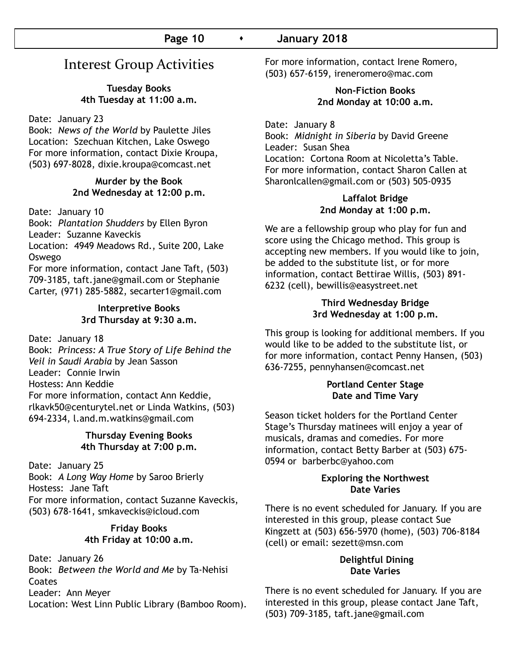## Interest Group Activities

**Tuesday Books 4th Tuesday at 11:00 a.m.**

Date: January 23

Book: *News of the World* by Paulette Jiles Location: Szechuan Kitchen, Lake Oswego For more information, contact Dixie Kroupa, (503) 697-8028, dixie.kroupa@comcast.net

#### **Murder by the Book 2nd Wednesday at 12:00 p.m.**

Date: January 10

Book: *Plantation Shudders* by Ellen Byron Leader: Suzanne Kaveckis

Location: 4949 Meadows Rd., Suite 200, Lake Oswego

For more information, contact Jane Taft, (503) 709-3185, taft.jane@gmail.com or Stephanie Carter, (971) 285-5882, secarter1@gmail.com

#### **Interpretive Books 3rd Thursday at 9:30 a.m.**

Date: January 18

Book: *Princess: A True Story of Life Behind the Veil in Saudi Arabia* by Jean Sasson Leader: Connie Irwin Hostess: Ann Keddie For more information, contact Ann Keddie, rlkavk50@centurytel.net or Linda Watkins, (503) 694-2334, l.and.m.watkins@gmail.com

#### **Thursday Evening Books 4th Thursday at 7:00 p.m.**

Date: January 25 Book: *A Long Way Home* by Saroo Brierly Hostess: Jane Taft For more information, contact Suzanne Kaveckis, (503) 678-1641, smkaveckis@icloud.com

## **Friday Books 4th Friday at 10:00 a.m.**

Date: January 26 Book: *Between the World and Me* by Ta-Nehisi Coates Leader: Ann Meyer Location: West Linn Public Library (Bamboo Room). For more information, contact Irene Romero, (503) 657-6159, ireneromero@mac.com

#### **Non-Fiction Books 2nd Monday at 10:00 a.m.**

Date: January 8 Book: *Midnight in Siberia* by David Greene Leader: Susan Shea Location: Cortona Room at Nicoletta's Table. For more information, contact Sharon Callen at Sharonlcallen@gmail.com or (503) 505-0935

#### **Laffalot Bridge 2nd Monday at 1:00 p.m.**

We are a fellowship group who play for fun and score using the Chicago method. This group is accepting new members. If you would like to join, be added to the substitute list, or for more information, contact Bettirae Willis, (503) 891- 6232 (cell), bewillis@easystreet.net

#### **Third Wednesday Bridge 3rd Wednesday at 1:00 p.m.**

This group is looking for additional members. If you would like to be added to the substitute list, or for more information, contact Penny Hansen, (503) 636-7255, pennyhansen@comcast.net

### **Portland Center Stage Date and Time Vary**

Season ticket holders for the Portland Center Stage's Thursday matinees will enjoy a year of musicals, dramas and comedies. For more information, contact Betty Barber at (503) 675- 0594 or barberbc@yahoo.com

#### **Exploring the Northwest Date Varies**

There is no event scheduled for January. If you are interested in this group, please contact Sue Kingzett at (503) 656-5970 (home), (503) 706-8184 (cell) or email: sezett@msn.com

### **Delightful Dining Date Varies**

There is no event scheduled for January. If you are interested in this group, please contact Jane Taft, (503) 709-3185, taft.jane@gmail.com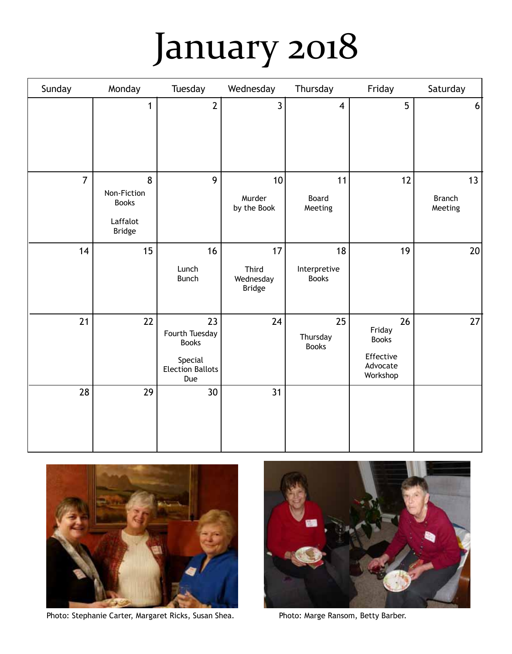# January 2018

| Sunday         | Monday                                                        | Tuesday                                                                           | Wednesday                                 | Thursday                           | Friday                                                            | Saturday                       |
|----------------|---------------------------------------------------------------|-----------------------------------------------------------------------------------|-------------------------------------------|------------------------------------|-------------------------------------------------------------------|--------------------------------|
|                | $\mathbf{1}$                                                  | $\overline{2}$                                                                    | 3                                         | $\overline{\mathbf{4}}$            | 5                                                                 | 6 <sup>1</sup>                 |
| $\overline{7}$ | 8<br>Non-Fiction<br><b>Books</b><br>Laffalot<br><b>Bridge</b> | 9                                                                                 | 10<br>Murder<br>by the Book               | 11<br>Board<br>Meeting             | 12                                                                | 13<br><b>Branch</b><br>Meeting |
| 14             | 15                                                            | 16<br>Lunch<br><b>Bunch</b>                                                       | 17<br>Third<br>Wednesday<br><b>Bridge</b> | 18<br>Interpretive<br><b>Books</b> | 19                                                                | 20                             |
| 21             | 22                                                            | 23<br>Fourth Tuesday<br><b>Books</b><br>Special<br><b>Election Ballots</b><br>Due | 24                                        | 25<br>Thursday<br><b>Books</b>     | 26<br>Friday<br><b>Books</b><br>Effective<br>Advocate<br>Workshop | 27                             |
| 28             | 29                                                            | 30                                                                                | 31                                        |                                    |                                                                   |                                |



Photo: Stephanie Carter, Margaret Ricks, Susan Shea. Photo: Marge Ransom, Betty Barber.